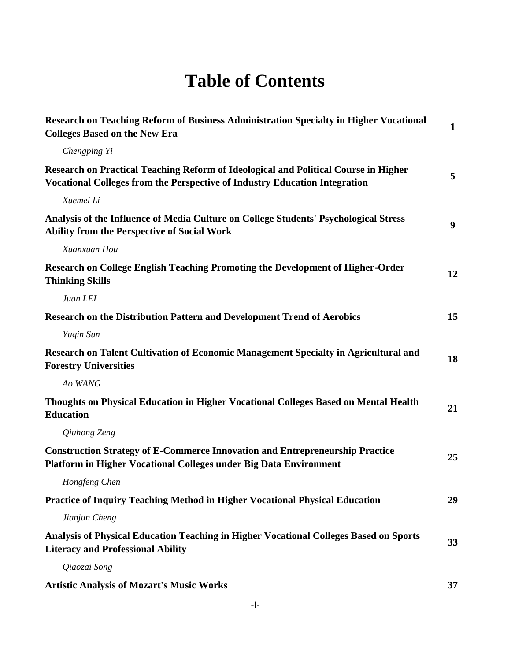## **Table of Contents**

| Research on Teaching Reform of Business Administration Specialty in Higher Vocational<br><b>Colleges Based on the New Era</b>                                     | $\mathbf{1}$ |
|-------------------------------------------------------------------------------------------------------------------------------------------------------------------|--------------|
| Chengping Yi                                                                                                                                                      |              |
| Research on Practical Teaching Reform of Ideological and Political Course in Higher<br>Vocational Colleges from the Perspective of Industry Education Integration | 5            |
| Xuemei Li                                                                                                                                                         |              |
| Analysis of the Influence of Media Culture on College Students' Psychological Stress<br><b>Ability from the Perspective of Social Work</b>                        | 9            |
| Xuanxuan Hou                                                                                                                                                      |              |
| Research on College English Teaching Promoting the Development of Higher-Order<br><b>Thinking Skills</b>                                                          | 12           |
| Juan LEI                                                                                                                                                          |              |
| <b>Research on the Distribution Pattern and Development Trend of Aerobics</b>                                                                                     | 15           |
| Yuqin Sun                                                                                                                                                         |              |
| Research on Talent Cultivation of Economic Management Specialty in Agricultural and<br><b>Forestry Universities</b>                                               | 18           |
| Ao WANG                                                                                                                                                           |              |
| Thoughts on Physical Education in Higher Vocational Colleges Based on Mental Health<br><b>Education</b>                                                           | 21           |
| Qiuhong Zeng                                                                                                                                                      |              |
| <b>Construction Strategy of E-Commerce Innovation and Entrepreneurship Practice</b><br>Platform in Higher Vocational Colleges under Big Data Environment          | 25           |
| Hongfeng Chen                                                                                                                                                     |              |
| <b>Practice of Inquiry Teaching Method in Higher Vocational Physical Education</b>                                                                                | 29           |
| Jianjun Cheng                                                                                                                                                     |              |
| Analysis of Physical Education Teaching in Higher Vocational Colleges Based on Sports<br><b>Literacy and Professional Ability</b>                                 | 33           |
| Qiaozai Song                                                                                                                                                      |              |
| <b>Artistic Analysis of Mozart's Music Works</b>                                                                                                                  | 37           |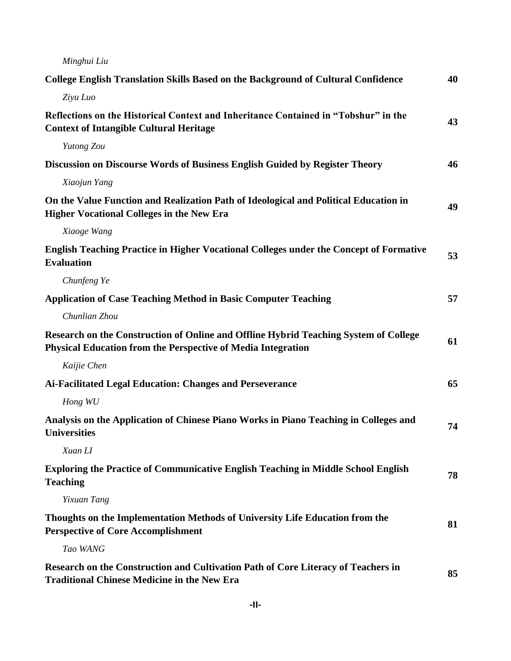| Minghui Liu                                                                                                                                                 |    |
|-------------------------------------------------------------------------------------------------------------------------------------------------------------|----|
| College English Translation Skills Based on the Background of Cultural Confidence                                                                           | 40 |
| Ziyu Luo                                                                                                                                                    |    |
| Reflections on the Historical Context and Inheritance Contained in "Tobshur" in the<br><b>Context of Intangible Cultural Heritage</b>                       | 43 |
| Yutong Zou                                                                                                                                                  |    |
| Discussion on Discourse Words of Business English Guided by Register Theory                                                                                 | 46 |
| Xiaojun Yang                                                                                                                                                |    |
| On the Value Function and Realization Path of Ideological and Political Education in<br><b>Higher Vocational Colleges in the New Era</b>                    | 49 |
| Xiaoge Wang                                                                                                                                                 |    |
| <b>English Teaching Practice in Higher Vocational Colleges under the Concept of Formative</b><br><b>Evaluation</b>                                          | 53 |
| Chunfeng Ye                                                                                                                                                 |    |
| <b>Application of Case Teaching Method in Basic Computer Teaching</b>                                                                                       | 57 |
| Chunlian Zhou                                                                                                                                               |    |
| Research on the Construction of Online and Offline Hybrid Teaching System of College<br><b>Physical Education from the Perspective of Media Integration</b> | 61 |
| Kaijie Chen                                                                                                                                                 |    |
| Ai-Facilitated Legal Education: Changes and Perseverance                                                                                                    | 65 |
| Hong WU                                                                                                                                                     |    |
| Analysis on the Application of Chinese Piano Works in Piano Teaching in Colleges and<br><b>Universities</b>                                                 | 74 |
| Xuan LI                                                                                                                                                     |    |
| <b>Exploring the Practice of Communicative English Teaching in Middle School English</b><br><b>Teaching</b>                                                 | 78 |
| Yixuan Tang                                                                                                                                                 |    |
| Thoughts on the Implementation Methods of University Life Education from the<br><b>Perspective of Core Accomplishment</b>                                   | 81 |
| Tao WANG                                                                                                                                                    |    |
| Research on the Construction and Cultivation Path of Core Literacy of Teachers in<br><b>Traditional Chinese Medicine in the New Era</b>                     | 85 |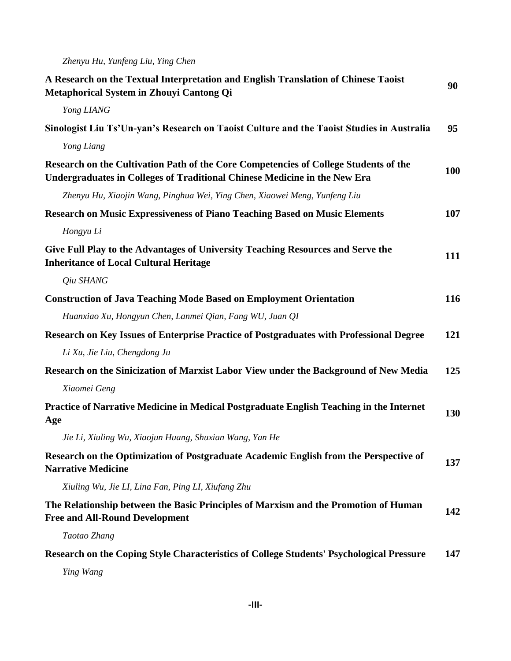*Zhenyu Hu, Yunfeng Liu, Ying Chen*

| A Research on the Textual Interpretation and English Translation of Chinese Taoist<br>Metaphorical System in Zhouyi Cantong Qi                                    |     |
|-------------------------------------------------------------------------------------------------------------------------------------------------------------------|-----|
| Yong LIANG                                                                                                                                                        |     |
| Sinologist Liu Ts'Un-yan's Research on Taoist Culture and the Taoist Studies in Australia                                                                         | 95  |
| Yong Liang                                                                                                                                                        |     |
| Research on the Cultivation Path of the Core Competencies of College Students of the<br>Undergraduates in Colleges of Traditional Chinese Medicine in the New Era | 100 |
| Zhenyu Hu, Xiaojin Wang, Pinghua Wei, Ying Chen, Xiaowei Meng, Yunfeng Liu                                                                                        |     |
| <b>Research on Music Expressiveness of Piano Teaching Based on Music Elements</b>                                                                                 | 107 |
| Hongyu Li                                                                                                                                                         |     |
| Give Full Play to the Advantages of University Teaching Resources and Serve the<br><b>Inheritance of Local Cultural Heritage</b>                                  | 111 |
| Qiu SHANG                                                                                                                                                         |     |
| <b>Construction of Java Teaching Mode Based on Employment Orientation</b>                                                                                         | 116 |
| Huanxiao Xu, Hongyun Chen, Lanmei Qian, Fang WU, Juan QI                                                                                                          |     |
| Research on Key Issues of Enterprise Practice of Postgraduates with Professional Degree                                                                           | 121 |
| Li Xu, Jie Liu, Chengdong Ju                                                                                                                                      |     |
| Research on the Sinicization of Marxist Labor View under the Background of New Media                                                                              | 125 |
| Xiaomei Geng                                                                                                                                                      |     |
| Practice of Narrative Medicine in Medical Postgraduate English Teaching in the Internet<br>Age                                                                    | 130 |
| Jie Li, Xiuling Wu, Xiaojun Huang, Shuxian Wang, Yan He                                                                                                           |     |
| Research on the Optimization of Postgraduate Academic English from the Perspective of<br><b>Narrative Medicine</b>                                                | 137 |
| Xiuling Wu, Jie LI, Lina Fan, Ping LI, Xiufang Zhu                                                                                                                |     |
| The Relationship between the Basic Principles of Marxism and the Promotion of Human<br><b>Free and All-Round Development</b>                                      | 142 |
| Taotao Zhang                                                                                                                                                      |     |
| Research on the Coping Style Characteristics of College Students' Psychological Pressure                                                                          | 147 |
| Ying Wang                                                                                                                                                         |     |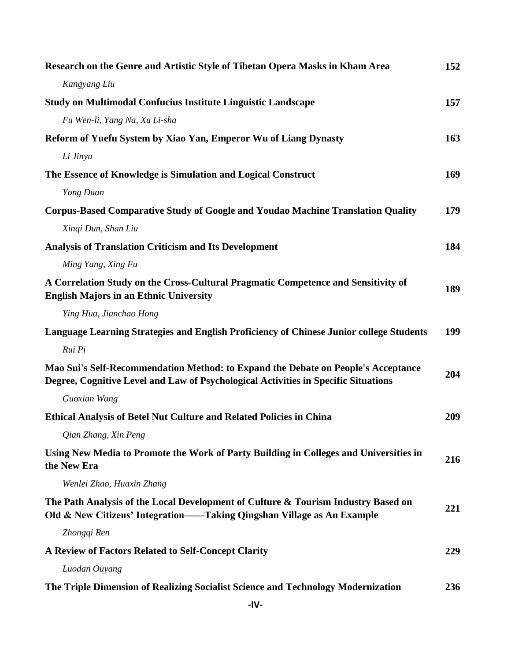| Research on the Genre and Artistic Style of Tibetan Opera Masks in Kham Area                                                                                            | 152 |
|-------------------------------------------------------------------------------------------------------------------------------------------------------------------------|-----|
| Kangyang Liu                                                                                                                                                            |     |
| <b>Study on Multimodal Confucius Institute Linguistic Landscape</b>                                                                                                     | 157 |
| Fu Wen-li, Yang Na, Xu Li-sha                                                                                                                                           |     |
| Reform of Yuefu System by Xiao Yan, Emperor Wu of Liang Dynasty                                                                                                         | 163 |
| Li Jinyu                                                                                                                                                                |     |
| The Essence of Knowledge is Simulation and Logical Construct                                                                                                            | 169 |
| Yong Duan                                                                                                                                                               |     |
| <b>Corpus-Based Comparative Study of Google and Youdao Machine Translation Quality</b>                                                                                  | 179 |
| Xinqi Dun, Shan Liu                                                                                                                                                     |     |
| <b>Analysis of Translation Criticism and Its Development</b>                                                                                                            | 184 |
| Ming Yang, Xing Fu                                                                                                                                                      |     |
| A Correlation Study on the Cross-Cultural Pragmatic Competence and Sensitivity of<br><b>English Majors in an Ethnic University</b>                                      | 189 |
| Ying Hua, Jianchao Hong                                                                                                                                                 |     |
| Language Learning Strategies and English Proficiency of Chinese Junior college Students                                                                                 | 199 |
| Rui Pi                                                                                                                                                                  |     |
| Mao Sui's Self-Recommendation Method: to Expand the Debate on People's Acceptance<br>Degree, Cognitive Level and Law of Psychological Activities in Specific Situations | 204 |
| Guoxian Wang                                                                                                                                                            |     |
| <b>Ethical Analysis of Betel Nut Culture and Related Policies in China</b>                                                                                              | 209 |
| Qian Zhang, Xin Peng                                                                                                                                                    |     |
| Using New Media to Promote the Work of Party Building in Colleges and Universities in<br>the New Era                                                                    | 216 |
| Wenlei Zhao, Huaxin Zhang                                                                                                                                               |     |
| The Path Analysis of the Local Development of Culture & Tourism Industry Based on<br>Old & New Citizens' Integration—Taking Qingshan Village as An Example              | 221 |
| Zhongqi Ren                                                                                                                                                             |     |
| A Review of Factors Related to Self-Concept Clarity                                                                                                                     | 229 |
| Luodan Ouyang                                                                                                                                                           |     |
| The Triple Dimension of Realizing Socialist Science and Technology Modernization                                                                                        | 236 |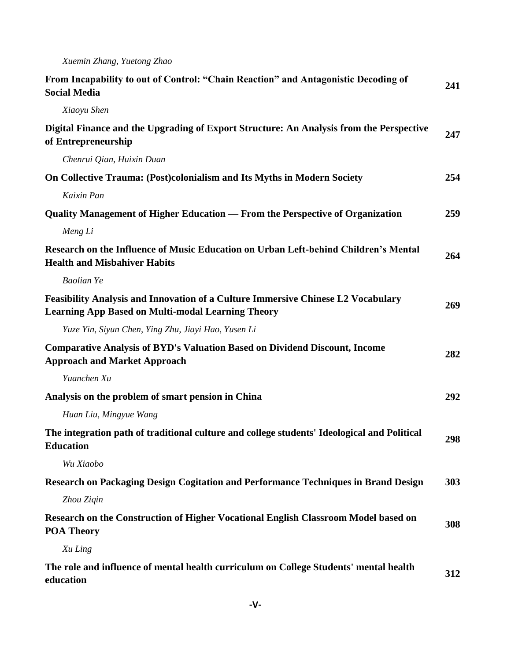| From Incapability to out of Control: "Chain Reaction" and Antagonistic Decoding of<br><b>Social Media</b>                                    | 241 |
|----------------------------------------------------------------------------------------------------------------------------------------------|-----|
| Xiaoyu Shen                                                                                                                                  |     |
| Digital Finance and the Upgrading of Export Structure: An Analysis from the Perspective<br>of Entrepreneurship                               | 247 |
| Chenrui Qian, Huixin Duan                                                                                                                    |     |
| <b>On Collective Trauma: (Post)colonialism and Its Myths in Modern Society</b>                                                               | 254 |
| Kaixin Pan                                                                                                                                   |     |
| Quality Management of Higher Education — From the Perspective of Organization                                                                | 259 |
| Meng Li                                                                                                                                      |     |
| Research on the Influence of Music Education on Urban Left-behind Children's Mental<br><b>Health and Misbahiver Habits</b>                   | 264 |
| <b>Baolian Ye</b>                                                                                                                            |     |
| Feasibility Analysis and Innovation of a Culture Immersive Chinese L2 Vocabulary<br><b>Learning App Based on Multi-modal Learning Theory</b> | 269 |
| Yuze Yin, Siyun Chen, Ying Zhu, Jiayi Hao, Yusen Li                                                                                          |     |
| <b>Comparative Analysis of BYD's Valuation Based on Dividend Discount, Income</b><br><b>Approach and Market Approach</b>                     | 282 |
| Yuanchen Xu                                                                                                                                  |     |
| Analysis on the problem of smart pension in China                                                                                            | 292 |
| Huan Liu, Mingyue Wang                                                                                                                       |     |
| The integration path of traditional culture and college students' Ideological and Political<br><b>Education</b>                              | 298 |
| Wu Xiaobo                                                                                                                                    |     |
| Research on Packaging Design Cogitation and Performance Techniques in Brand Design                                                           | 303 |
| Zhou Zigin                                                                                                                                   |     |
| Research on the Construction of Higher Vocational English Classroom Model based on<br><b>POA Theory</b>                                      | 308 |
| Xu Ling                                                                                                                                      |     |
| The role and influence of mental health curriculum on College Students' mental health<br>education                                           | 312 |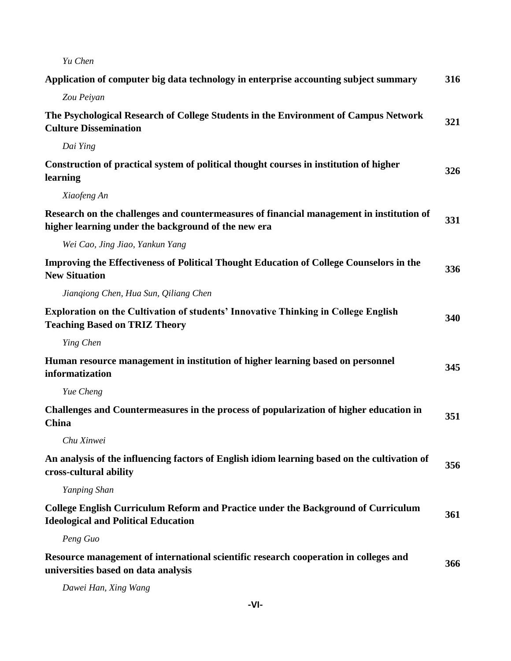| Yu Chen                                                                                                                                         |     |
|-------------------------------------------------------------------------------------------------------------------------------------------------|-----|
| Application of computer big data technology in enterprise accounting subject summary                                                            | 316 |
| Zou Peiyan                                                                                                                                      |     |
| The Psychological Research of College Students in the Environment of Campus Network<br><b>Culture Dissemination</b>                             | 321 |
| Dai Ying                                                                                                                                        |     |
| Construction of practical system of political thought courses in institution of higher<br>learning                                              | 326 |
| Xiaofeng An                                                                                                                                     |     |
| Research on the challenges and countermeasures of financial management in institution of<br>higher learning under the background of the new era | 331 |
| Wei Cao, Jing Jiao, Yankun Yang                                                                                                                 |     |
| Improving the Effectiveness of Political Thought Education of College Counselors in the<br><b>New Situation</b>                                 | 336 |
| Jiangiong Chen, Hua Sun, Qiliang Chen                                                                                                           |     |
| <b>Exploration on the Cultivation of students' Innovative Thinking in College English</b><br><b>Teaching Based on TRIZ Theory</b>               | 340 |
| Ying Chen                                                                                                                                       |     |
| Human resource management in institution of higher learning based on personnel<br>informatization                                               | 345 |
| Yue Cheng                                                                                                                                       |     |
| Challenges and Countermeasures in the process of popularization of higher education in<br>China                                                 | 351 |
| Chu Xinwei                                                                                                                                      |     |
| An analysis of the influencing factors of English idiom learning based on the cultivation of<br>cross-cultural ability                          | 356 |
| Yanping Shan                                                                                                                                    |     |
| <b>College English Curriculum Reform and Practice under the Background of Curriculum</b><br><b>Ideological and Political Education</b>          | 361 |
| Peng Guo                                                                                                                                        |     |
| Resource management of international scientific research cooperation in colleges and<br>universities based on data analysis                     | 366 |
| Dawei Han, Xing Wang                                                                                                                            |     |

**-VI-**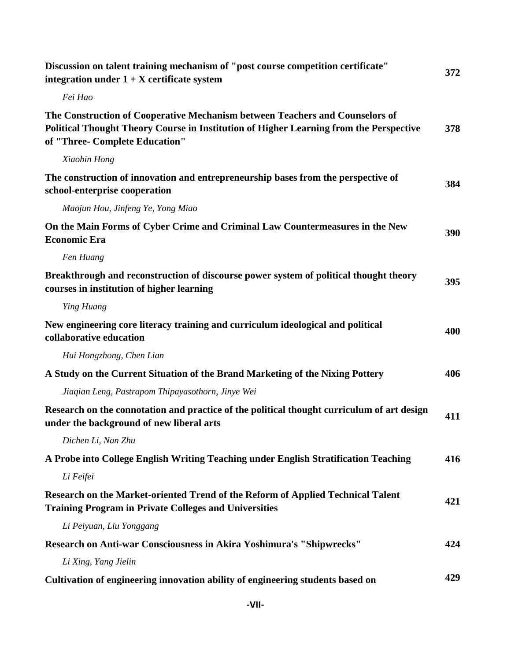| Discussion on talent training mechanism of "post course competition certificate"<br>integration under $1 + X$ certificate system                                                                         | 372 |
|----------------------------------------------------------------------------------------------------------------------------------------------------------------------------------------------------------|-----|
| Fei Hao                                                                                                                                                                                                  |     |
| The Construction of Cooperative Mechanism between Teachers and Counselors of<br>Political Thought Theory Course in Institution of Higher Learning from the Perspective<br>of "Three- Complete Education" | 378 |
| Xiaobin Hong                                                                                                                                                                                             |     |
| The construction of innovation and entrepreneurship bases from the perspective of<br>school-enterprise cooperation                                                                                       | 384 |
| Maojun Hou, Jinfeng Ye, Yong Miao                                                                                                                                                                        |     |
| On the Main Forms of Cyber Crime and Criminal Law Countermeasures in the New<br><b>Economic Era</b>                                                                                                      | 390 |
| Fen Huang                                                                                                                                                                                                |     |
| Breakthrough and reconstruction of discourse power system of political thought theory<br>courses in institution of higher learning                                                                       | 395 |
| Ying Huang                                                                                                                                                                                               |     |
| New engineering core literacy training and curriculum ideological and political<br>collaborative education                                                                                               | 400 |
| Hui Hongzhong, Chen Lian                                                                                                                                                                                 |     |
| A Study on the Current Situation of the Brand Marketing of the Nixing Pottery                                                                                                                            | 406 |
| Jiaqian Leng, Pastrapom Thipayasothorn, Jinye Wei                                                                                                                                                        |     |
| Research on the connotation and practice of the political thought curriculum of art design<br>under the background of new liberal arts                                                                   | 411 |
| Dichen Li, Nan Zhu                                                                                                                                                                                       |     |
| A Probe into College English Writing Teaching under English Stratification Teaching                                                                                                                      | 416 |
| Li Feifei                                                                                                                                                                                                |     |
| Research on the Market-oriented Trend of the Reform of Applied Technical Talent<br><b>Training Program in Private Colleges and Universities</b>                                                          | 421 |
| Li Peiyuan, Liu Yonggang                                                                                                                                                                                 |     |
| Research on Anti-war Consciousness in Akira Yoshimura's "Shipwrecks"                                                                                                                                     | 424 |
| Li Xing, Yang Jielin                                                                                                                                                                                     |     |
| Cultivation of engineering innovation ability of engineering students based on                                                                                                                           | 429 |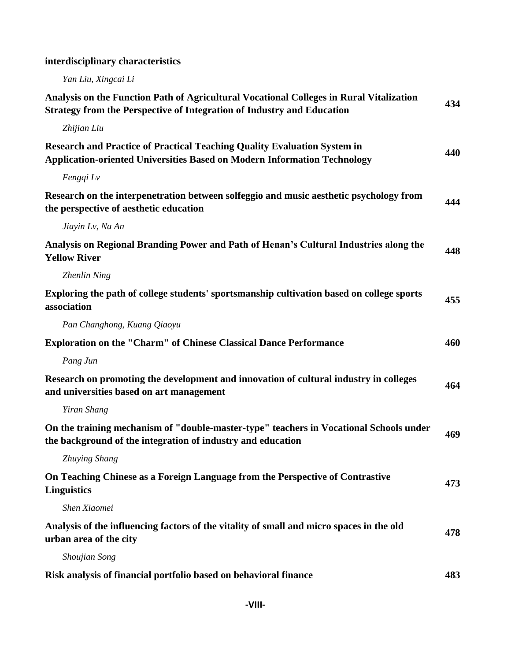## **interdisciplinary characteristics**

*Yan Liu, Xingcai Li*

| Analysis on the Function Path of Agricultural Vocational Colleges in Rural Vitalization<br><b>Strategy from the Perspective of Integration of Industry and Education</b> | 434 |
|--------------------------------------------------------------------------------------------------------------------------------------------------------------------------|-----|
| Zhijian Liu                                                                                                                                                              |     |
| <b>Research and Practice of Practical Teaching Quality Evaluation System in</b><br><b>Application-oriented Universities Based on Modern Information Technology</b>       | 440 |
| Fengqi Lv                                                                                                                                                                |     |
| Research on the interpenetration between solfeggio and music aesthetic psychology from<br>the perspective of aesthetic education                                         | 444 |
| Jiayin Lv, Na An                                                                                                                                                         |     |
| Analysis on Regional Branding Power and Path of Henan's Cultural Industries along the<br><b>Yellow River</b>                                                             | 448 |
| Zhenlin Ning                                                                                                                                                             |     |
| Exploring the path of college students' sportsmanship cultivation based on college sports<br>association                                                                 | 455 |
| Pan Changhong, Kuang Qiaoyu                                                                                                                                              |     |
| <b>Exploration on the "Charm" of Chinese Classical Dance Performance</b>                                                                                                 | 460 |
| Pang Jun                                                                                                                                                                 |     |
| Research on promoting the development and innovation of cultural industry in colleges<br>and universities based on art management                                        | 464 |
| Yiran Shang                                                                                                                                                              |     |
| On the training mechanism of "double-master-type" teachers in Vocational Schools under<br>the background of the integration of industry and education                    | 469 |
| Zhuying Shang                                                                                                                                                            |     |
| On Teaching Chinese as a Foreign Language from the Perspective of Contrastive<br><b>Linguistics</b>                                                                      | 473 |
| Shen Xiaomei                                                                                                                                                             |     |
| Analysis of the influencing factors of the vitality of small and micro spaces in the old<br>urban area of the city                                                       | 478 |
| Shoujian Song                                                                                                                                                            |     |
| Risk analysis of financial portfolio based on behavioral finance                                                                                                         | 483 |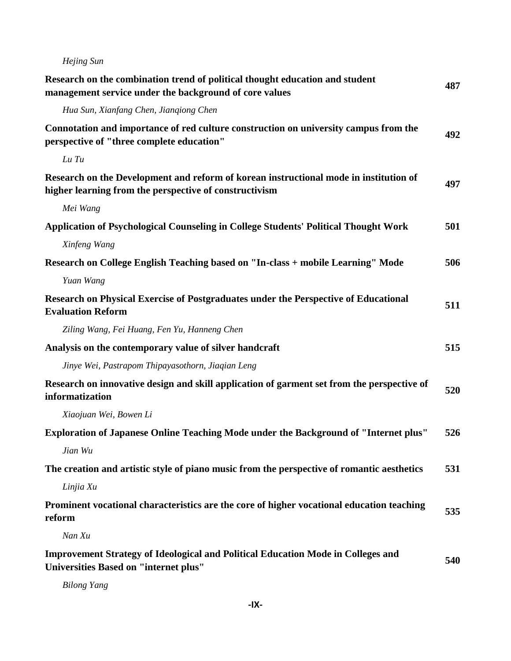| Hejing Sun                                                                                                                                      |     |
|-------------------------------------------------------------------------------------------------------------------------------------------------|-----|
| Research on the combination trend of political thought education and student<br>management service under the background of core values          | 487 |
| Hua Sun, Xianfang Chen, Jiangiong Chen                                                                                                          |     |
| Connotation and importance of red culture construction on university campus from the<br>perspective of "three complete education"               | 492 |
| Lu Tu                                                                                                                                           |     |
| Research on the Development and reform of korean instructional mode in institution of<br>higher learning from the perspective of constructivism | 497 |
| Mei Wang                                                                                                                                        |     |
| <b>Application of Psychological Counseling in College Students' Political Thought Work</b>                                                      | 501 |
| Xinfeng Wang                                                                                                                                    |     |
| Research on College English Teaching based on "In-class + mobile Learning" Mode                                                                 | 506 |
| Yuan Wang                                                                                                                                       |     |
| Research on Physical Exercise of Postgraduates under the Perspective of Educational<br><b>Evaluation Reform</b>                                 | 511 |
| Ziling Wang, Fei Huang, Fen Yu, Hanneng Chen                                                                                                    |     |
| Analysis on the contemporary value of silver handcraft                                                                                          | 515 |
| Jinye Wei, Pastrapom Thipayasothorn, Jiaqian Leng                                                                                               |     |
| Research on innovative design and skill application of garment set from the perspective of<br>informatization                                   | 520 |
| Xiaojuan Wei, Bowen Li                                                                                                                          |     |
| Exploration of Japanese Online Teaching Mode under the Background of "Internet plus"                                                            | 526 |
| Jian Wu                                                                                                                                         |     |
| The creation and artistic style of piano music from the perspective of romantic aesthetics                                                      | 531 |
| Linjia Xu                                                                                                                                       |     |
| Prominent vocational characteristics are the core of higher vocational education teaching<br>reform                                             | 535 |
| Nan Xu                                                                                                                                          |     |
| <b>Improvement Strategy of Ideological and Political Education Mode in Colleges and</b><br><b>Universities Based on "internet plus"</b>         | 540 |
|                                                                                                                                                 |     |

*Bilong Yang*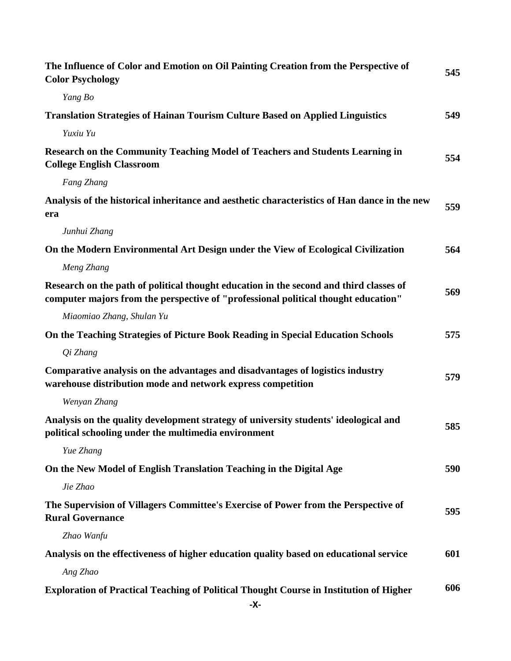| The Influence of Color and Emotion on Oil Painting Creation from the Perspective of<br><b>Color Psychology</b>                                                               | 545 |
|------------------------------------------------------------------------------------------------------------------------------------------------------------------------------|-----|
| Yang Bo                                                                                                                                                                      |     |
| <b>Translation Strategies of Hainan Tourism Culture Based on Applied Linguistics</b>                                                                                         | 549 |
| Yuxiu Yu                                                                                                                                                                     |     |
| Research on the Community Teaching Model of Teachers and Students Learning in<br><b>College English Classroom</b>                                                            | 554 |
| Fang Zhang                                                                                                                                                                   |     |
| Analysis of the historical inheritance and aesthetic characteristics of Han dance in the new<br>era                                                                          | 559 |
| Junhui Zhang                                                                                                                                                                 |     |
| On the Modern Environmental Art Design under the View of Ecological Civilization                                                                                             | 564 |
| Meng Zhang                                                                                                                                                                   |     |
| Research on the path of political thought education in the second and third classes of<br>computer majors from the perspective of "professional political thought education" | 569 |
| Miaomiao Zhang, Shulan Yu                                                                                                                                                    |     |
| On the Teaching Strategies of Picture Book Reading in Special Education Schools                                                                                              | 575 |
| Qi Zhang                                                                                                                                                                     |     |
| Comparative analysis on the advantages and disadvantages of logistics industry<br>warehouse distribution mode and network express competition                                | 579 |
| Wenyan Zhang                                                                                                                                                                 |     |
| Analysis on the quality development strategy of university students' ideological and<br>political schooling under the multimedia environment                                 | 585 |
| Yue Zhang                                                                                                                                                                    |     |
| On the New Model of English Translation Teaching in the Digital Age                                                                                                          | 590 |
| Jie Zhao                                                                                                                                                                     |     |
| The Supervision of Villagers Committee's Exercise of Power from the Perspective of<br><b>Rural Governance</b>                                                                | 595 |
| Zhao Wanfu                                                                                                                                                                   |     |
| Analysis on the effectiveness of higher education quality based on educational service                                                                                       | 601 |
| Ang Zhao                                                                                                                                                                     |     |
| <b>Exploration of Practical Teaching of Political Thought Course in Institution of Higher</b><br>-X-                                                                         | 606 |